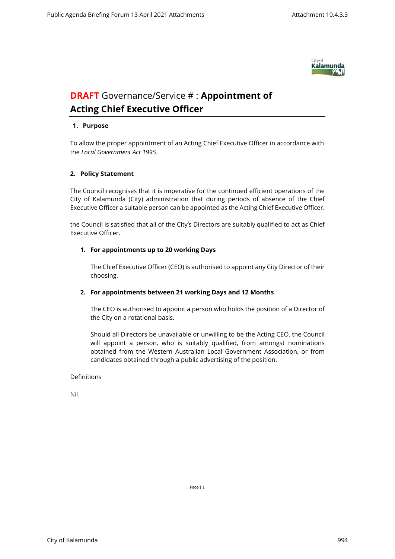

# **DRAFT** Governance/Service # : **Appointment of Acting Chief Executive Officer**

### **1. Purpose**

To allow the proper appointment of an Acting Chief Executive Officer in accordance with the *Local Government Act 1995*.

#### **2. Policy Statement**

The Council recognises that it is imperative for the continued efficient operations of the City of Kalamunda (City) administration that during periods of absence of the Chief Executive Officer a suitable person can be appointed as the Acting Chief Executive Officer.

the Council is satisfied that all of the City's Directors are suitably qualified to act as Chief Executive Officer.

#### **1. For appointments up to 20 working Days**

The Chief Executive Officer (CEO) is authorised to appoint any City Director of their choosing.

## **2. For appointments between 21 working Days and 12 Months**

The CEO is authorised to appoint a person who holds the position of a Director of the City on a rotational basis.

Should all Directors be unavailable or unwilling to be the Acting CEO, the Council will appoint a person, who is suitably qualified, from amongst nominations obtained from the Western Australian Local Government Association, or from candidates obtained through a public advertising of the position.

#### Definitions

Nil

Page | 1